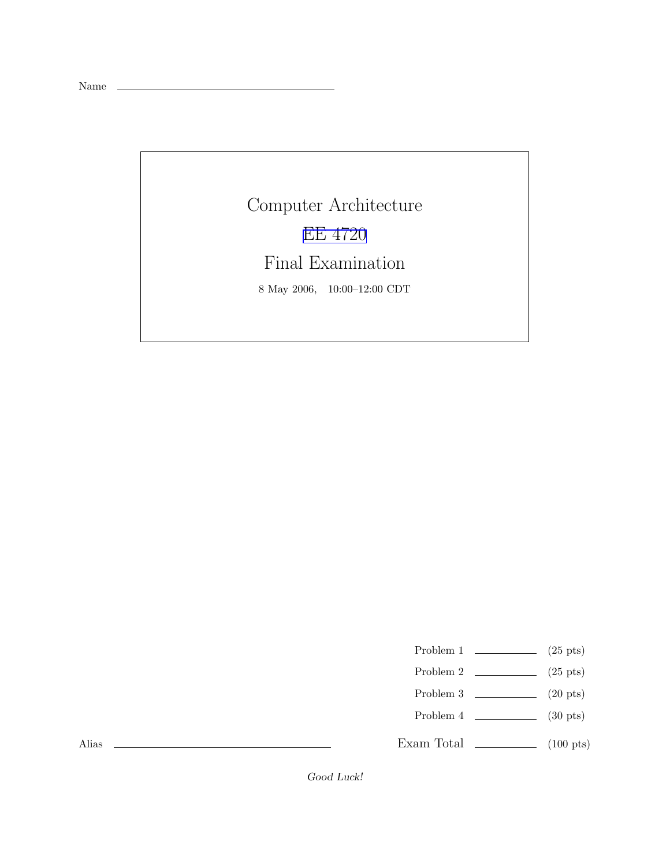Name

Computer Architecture EE [4720](http://www.ece.lsu.edu/ee4720/) Final Examination 8 May 2006, 10:00–12:00 CDT

Problem 1  $\qquad \qquad$  (25 pts)

- Problem 2  $\qquad \qquad$  (25 pts)
- Problem 3  $\qquad \qquad$  (20 pts)
- Problem 4  $\sim$  (30 pts)

Exam Total  $\qquad \qquad$  (100 pts)

Alias

Good Luck!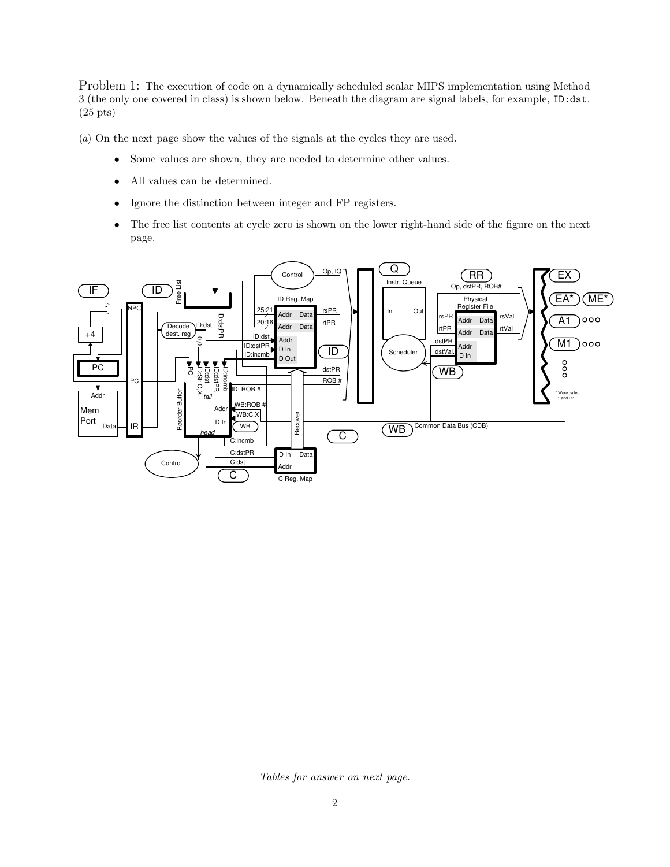Problem 1: The execution of code on a dynamically scheduled scalar MIPS implementation using Method 3 (the only one covered in class) is shown below. Beneath the diagram are signal labels, for example, ID:dst. (25 pts)

(a) On the next page show the values of the signals at the cycles they are used.

- Some values are shown, they are needed to determine other values.
- All values can be determined.
- Ignore the distinction between integer and FP registers.
- The free list contents at cycle zero is shown on the lower right-hand side of the figure on the next page.



Tables for answer on next page.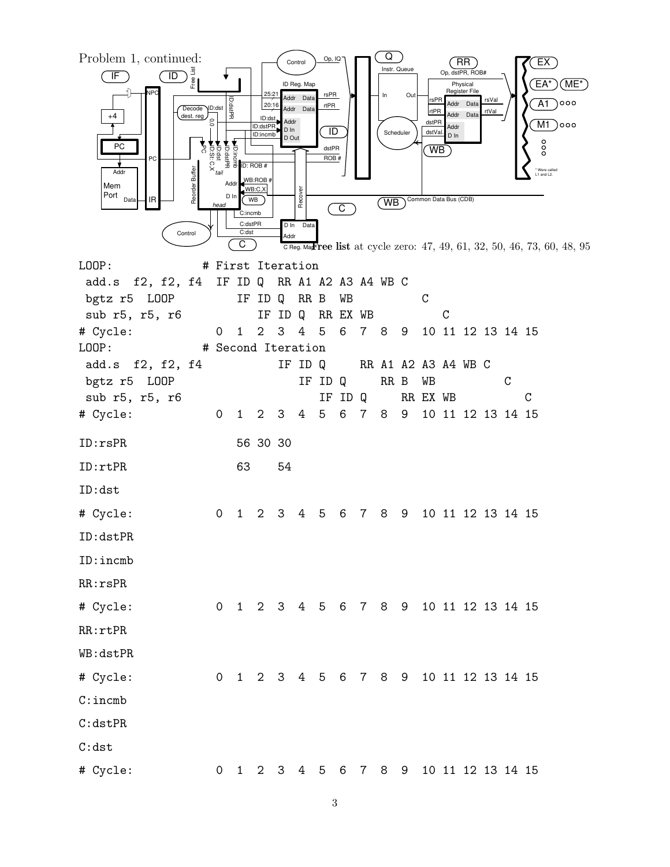

3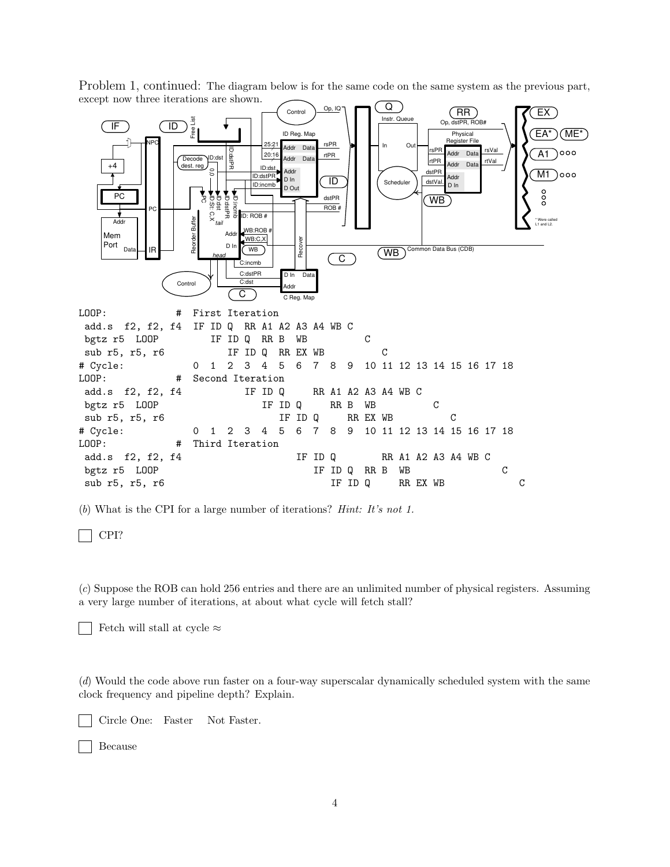

Problem 1, continued: The diagram below is for the same code on the same system as the previous part, except now three iterations are shown.

(b) What is the CPI for a large number of iterations? Hint: It's not 1.

CPI?

(c) Suppose the ROB can hold 256 entries and there are an unlimited number of physical registers. Assuming a very large number of iterations, at about what cycle will fetch stall?

Fetch will stall at cycle  $\approx$ 

(d) Would the code above run faster on a four-way superscalar dynamically scheduled system with the same clock frequency and pipeline depth? Explain.

Circle One: Faster Not Faster.

Because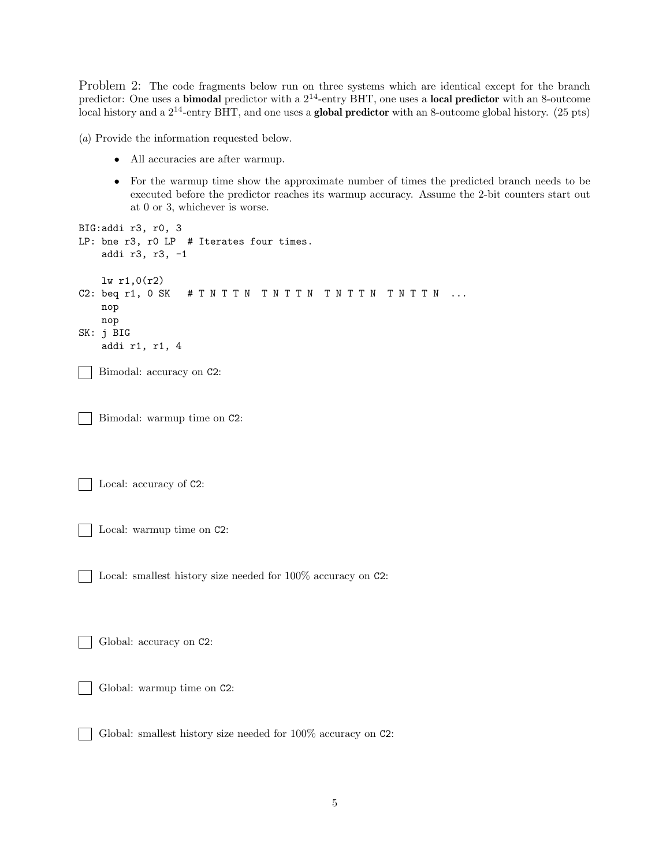Problem 2: The code fragments below run on three systems which are identical except for the branch predictor: One uses a **bimodal** predictor with a  $2^{14}$ -entry BHT, one uses a **local predictor** with an 8-outcome local history and a 2<sup>14</sup>-entry BHT, and one uses a **global predictor** with an 8-outcome global history. (25 pts)

(a) Provide the information requested below.

- All accuracies are after warmup.
- For the warmup time show the approximate number of times the predicted branch needs to be executed before the predictor reaches its warmup accuracy. Assume the 2-bit counters start out at 0 or 3, whichever is worse.

```
BIG:addi r3, r0, 3
LP: bne r3, r0 LP # Iterates four times.
    addi r3, r3, -1
    lw r1,0(r2)
C2: beq r1, 0 SK # T N T T N T N T T N T T N T T N T T N T ...
    nop
    nop
SK: j BIG
    addi r1, r1, 4
    Bimodal: accuracy on C2:
   Bimodal: warmup time on C2:
   Local: accuracy of C2:
   Local: warmup time on C2:
   Local: smallest history size needed for 100% accuracy on C2:
   Global: accuracy on C2:
   Global: warmup time on C2:
```
Global: smallest history size needed for 100% accuracy on C2:

 $\mathbf{L}$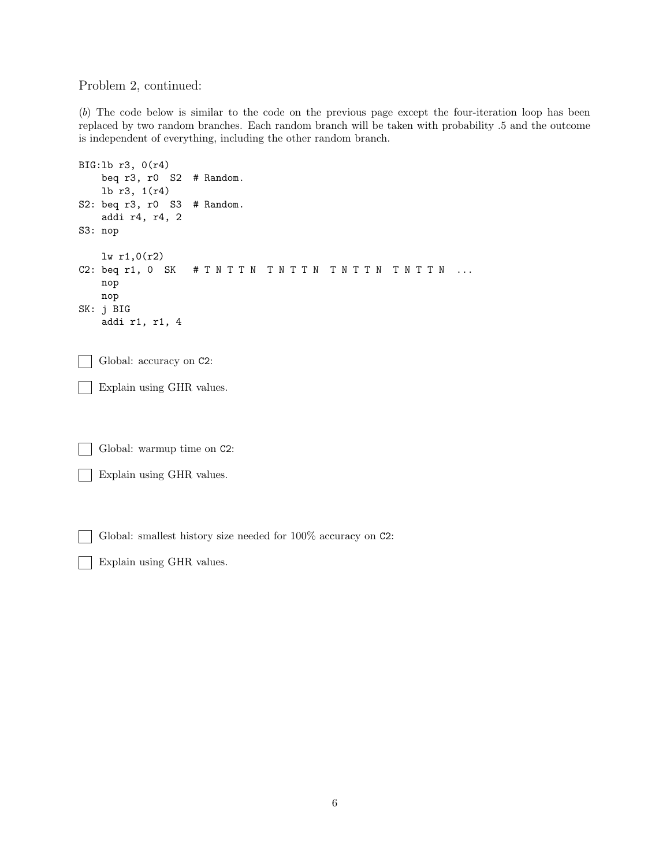## Problem 2, continued:

(b) The code below is similar to the code on the previous page except the four-iteration loop has been replaced by two random branches. Each random branch will be taken with probability .5 and the outcome is independent of everything, including the other random branch.

```
BIG:lb r3, 0(r4)
    beq r3, r0 S2 # Random.
    lb r3, 1(r4)
S2: beq r3, r0 S3 # Random.
    addi r4, r4, 2
S3: nop
    lw r1,0(r2)
C2: beq r1, 0 SK # T N T T N T N T T N T N T T N T N T T N ...
    nop
    nop
SK: j BIG
    addi r1, r1, 4
   Global: accuracy on C2:
   Explain using GHR values.
   Global: warmup time on C2:
   Explain using GHR values.
   Global: smallest history size needed for 100% accuracy on C2:
```
Explain using GHR values.  $\mathcal{L}$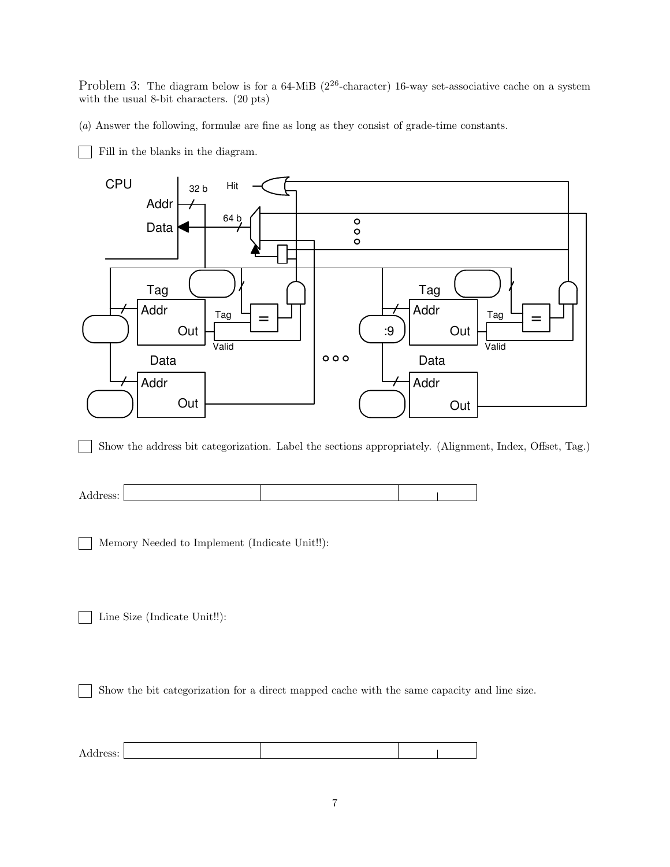Problem 3: The diagram below is for a 64-MiB  $(2^{26}$ -character) 16-way set-associative cache on a system with the usual 8-bit characters. (20 pts)

(a) Answer the following, formulæ are fine as long as they consist of grade-time constants.

Fill in the blanks in the diagram.



Show the address bit categorization. Label the sections appropriately. (Alignment, Index, Offset, Tag.)  $\blacksquare$ 



Memory Needed to Implement (Indicate Unit!!):  $\blacksquare$ 

Line Size (Indicate Unit!!):  $\mathbf{I}$ 

Show the bit categorization for a direct mapped cache with the same capacity and line size.

| Address: |  |  |
|----------|--|--|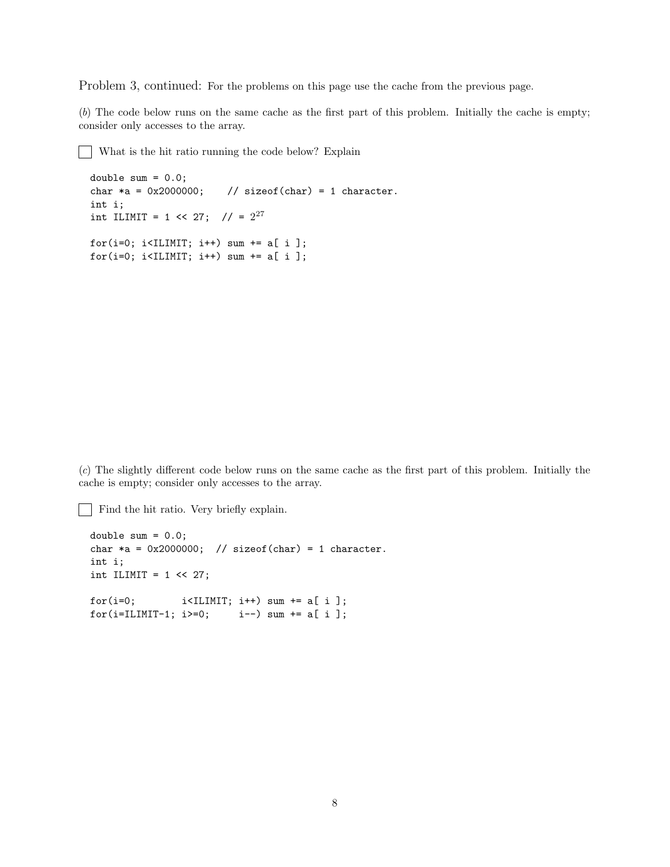Problem 3, continued: For the problems on this page use the cache from the previous page.

(b) The code below runs on the same cache as the first part of this problem. Initially the cache is empty; consider only accesses to the array.

What is the hit ratio running the code below? Explain

```
double sum = 0.0;
char *a = 0x2000000; // sizeof(char) = 1 character.
int i;
int ILIMIT = 1 << 27; // = 2^{27}for(i=0; i<ILIMIT; i++) sum += a[ i ];
for(i=0; i<ILIMIT; i++) sum += a[i];
```
(c) The slightly different code below runs on the same cache as the first part of this problem. Initially the cache is empty; consider only accesses to the array.

Find the hit ratio. Very briefly explain.

```
double sum = 0.0;
char *a = 0x2000000; // sizeof(char) = 1 character.
int i;
int ILIMIT = 1 \leq 27;
for(i=0; i<IIIMIT; i++) sum += a[i];for(i=ILIMIT-1; i>=0; i--) sum += a[i];
```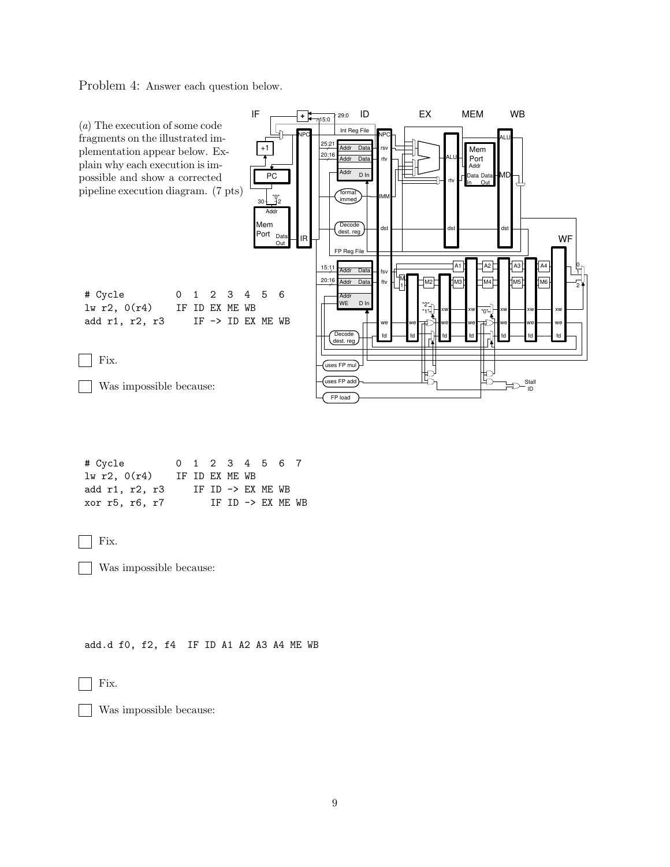Problem 4: Answer each question below.



| # Cycle        |  | 0 1 2 3 4 5 6 7                        |  |  |
|----------------|--|----------------------------------------|--|--|
| 1w r2, 0(r4)   |  | IF ID EX ME WB                         |  |  |
| add r1, r2, r3 |  | $TF$ $TD$ $\rightarrow$ $FX$ $MF$ . WB |  |  |
| xor r5, r6, r7 |  | $TF$ $TD$ $\rightarrow$ $FX$ $MF$ . WB |  |  |



Was impossible because:

add.d f0, f2, f4 IF ID A1 A2 A3 A4 ME WB

Fix.  $\mathcal{L}$ 

 $\mathbf{I}$ 

Was impossible because: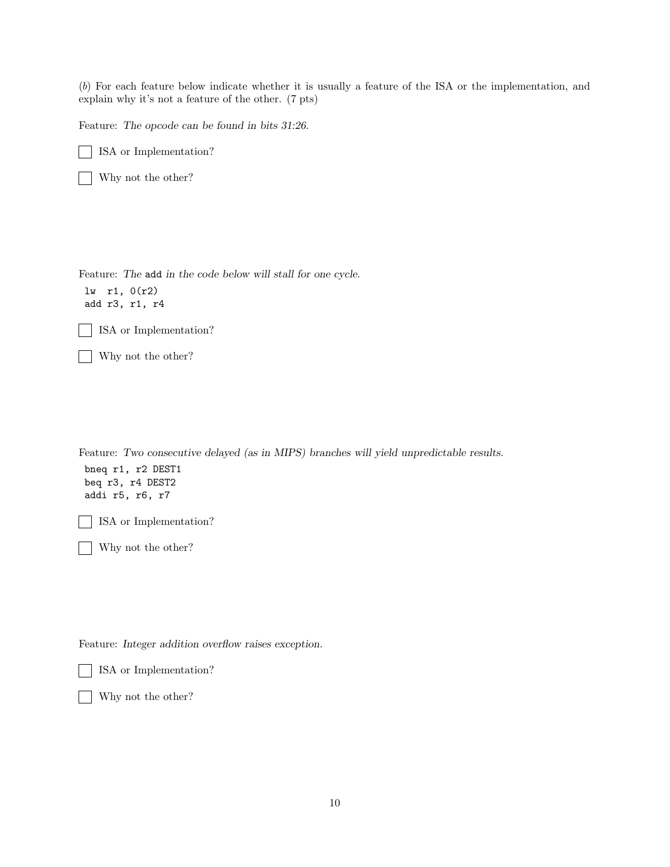(b) For each feature below indicate whether it is usually a feature of the ISA or the implementation, and explain why it's not a feature of the other. (7 pts)

Feature: The opcode can be found in bits 31:26.

ISA or Implementation?  $\mathcal{L}$ 

Why not the other?  $\mathbf{I}$ 

Feature: The add in the code below will stall for one cycle.

lw r1, 0(r2) add r3, r1, r4

┓ ISA or Implementation?

Why not the other?

Feature: Two consecutive delayed (as in MIPS) branches will yield unpredictable results. bneq r1, r2 DEST1 beq r3, r4 DEST2 addi r5, r6, r7 ISA or Implementation?

Why not the other?

Feature: Integer addition overflow raises exception.

ISA or Implementation?

Why not the other?  $\blacksquare$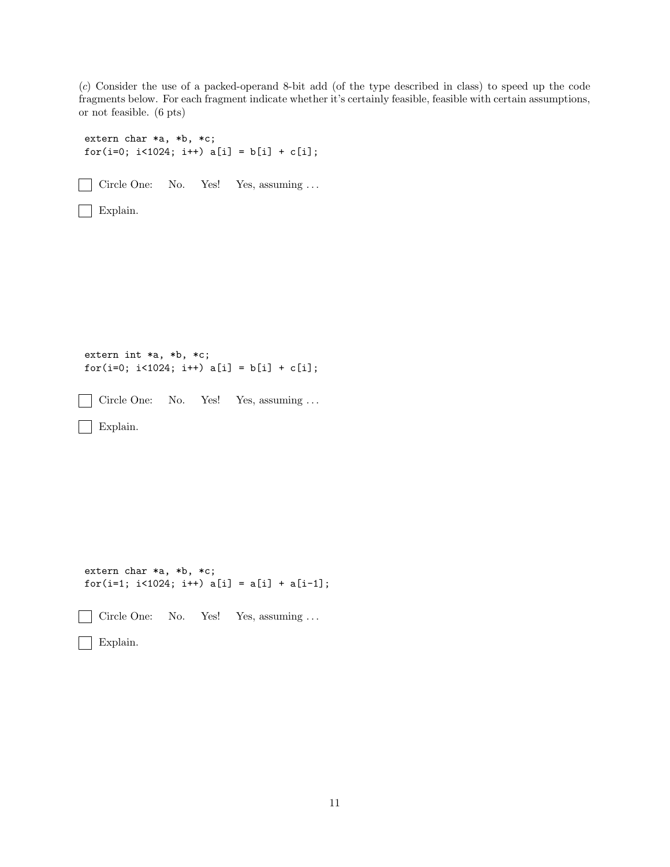(c) Consider the use of a packed-operand 8-bit add (of the type described in class) to speed up the code fragments below. For each fragment indicate whether it's certainly feasible, feasible with certain assumptions, or not feasible. (6 pts)

```
extern char *a, *b, *c;
for(i=0; i<1024; i++) a[i] = b[i] + c[i];\mathbf{I}Circle One: No. Yes! Yes, assuming ...
 Explain.
extern int *a, *b, *c;
for(i=0; i<1024; i++) a[i] = b[i] + c[i];Circle One: No. Yes! Yes, assuming ...
 \blacksquareExplain.
\blacksquareextern char *a, *b, *c;
for(i=1; i<1024; i++) a[i] = a[i] + a[i-1];
   Circle One: No. Yes! Yes, assuming ...
 \blacksquareExplain.
```